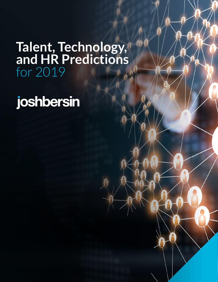## **Talent, Technology, and HR Predictions** for 2019

joshbersin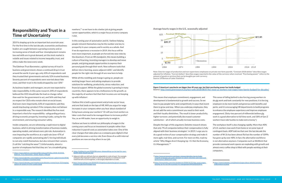### **Responsibility and Trust in a Time of Uncertainty**

2019 is shaping up to be an important but uncertain year. For the first time in the last decade, economists and business leaders are caught between a growing economy and an increasing sense of doubt and fear. Unemployment remains low and skills are in great demand, yet the stock market is volatile and issues related to income inequality, trust, and ethics make the news every week.

The Edelman Trust Barometer, a global survey of trust in business and government, shows a continued drop in trust around the world. A year ago, only 43% of respondents said they trusted their governments and only 52% trusted business. Seventy percent of respondents were worried about fake news, and their trust in the media dropped by over 10%.1

As business leaders and managers, we are now expected to take responsibility. In this same research, 64% of respondents believed the CEO should take the lead on change rather than wait for the government to act, and 56% said they had no respect for CEOs who remain silent on social issues. And even more importantly, 63% of respondents said they would stop buying a product if the company does not behave in a responsible way. The research identified the five most important criteria for responsibility: safeguarding privacy; driving economic prosperity, investing in jobs, caring for the environment, and ensuring consumer safety.

While all this reskilling and change is going on, people are working longer hours and asking employers to provide solutions for wellbeing, productivity, stress reduction, and financial support. While the global economy is growing in many countries, there appears to be a hollowness to the growth, as the majority of workers feel that their incomes are not keeping up with inflation<sup>6</sup>.

Inside companies, we are witnessing a rapid move to digital business, which is driving transformation of business models, operating models, and almost every job role. Automation is now impacting the workforce at a rapid rate (over 47% of companies are rapidly automating jobs<sup>2</sup> ), forcing individuals to not only reskill themselves, but also reinvent their careers. (I call this "catching the wave<sup>3</sup>.") Unfortunately, almost a quarter of employees feel that they are "on a treadmill going

nowhere,<sup>4</sup> " so we have to do a better job at giving people career opportunities, which is a major focus on every company I visit.

> Despite the logic of this argument, Deloitte research shows that only 7% of companies believe their compensation is full aligned with their business strategies<sup>7</sup>. In 2019, I urge you to do a good review of your compensation strategy and make it more agile, real-time, and current. For more on this, read my article "Why Wages Aren't Keeping Up: It's Not the Econom It's Management. 8"

In this coming year of automation and AI, I believe helping people reinvent themselves may be the number one key to prosperity in your company and in society as a whole. And if we do experience a recession in 2019, this focus will be even more important, as people are forced into new roles by the downturn. From an HR standpoint, this means building a culture of learning, incenting managers to develop and move people, and giving people opportunities to express their personal goals through their work. New software tools that deliver micro-learning, assess adjacent skills<sup>5</sup>, and identify people for the right role through AI are now here to help.

I believe this is both a government and private sector issue, and one that lands on the laps of HR. Will you argue for wage increases in your company when you hear about standard of living issues among your workers? Or will you treat workers as labor costs that need to be managed down to increase profits? You, as an HR leader, have an opportunity to weigh in.

I believe we have to rethink our philosophy of wages in the coming years and focus on investment in people rather than reduction in payroll costs as automation takes over. One of the clear changes that takes place as a company goes digital is that every job becomes a service role. Even those of us with internal positions are now serving others in our job.

This means that employee commitment, engagement, and development is fundamental to growth and success. So we have to pay people fairly and competitively in ways that ince them to grow and stay. When you underpay employees, they do not add the extra commitment you need to their work and their loyalty diminishes. The result is lower productivity, higher turnover, and potentially decreased customer satisfaction – all of which actually increase business costs.

|     | This sense of falling behind is also forcing young workers to    |
|-----|------------------------------------------------------------------|
|     | do gig work and look constantly for new positions; it is forcing |
| 'nt | employers to be more lavish and generous with benefits and       |
| V   | perks; and it is encouraging HR departments to build programs    |
|     | to enhance the employee experience and improve employee          |
| ١.  | engagement. (Sixty-two percent of millennials believe gig        |
|     | work is a good alternative to full time work, and 18% of Gen Z   |
|     | workers have side hustles to make extra money <sup>9</sup> .)    |
|     | The workplace itself is also changing rapidly. More than 40%     |
| V   | of U.S. workers now work from home or on some type of            |
|     | contingent basis. ADP told me that over the last decade the      |
|     | number of W-2s has been almost flat but the number of 1099s      |
|     | has gone up by over 40%. In fact, the alternative workforce      |
| ıy, | is not alternative anymore. Companies such as WeWork that        |
|     | provide communal work spaces are exploding with growth and       |
|     |                                                                  |
|     | almost every coffee shop is filled with people working at their  |

computers.

#### Figure 2 American's paychecks are bigger than 40 years ago, but their purchasing power has hardly budged Source: http://www.pewresearch.org/fact-tank/2018/08/07/for-most-us-workers-real-wages-have-barely-budged-for-decades/

**Average hourly wages in the U.S., seasonally adjusted**



**Note: Data for wages of production and non-supervisory employees on private non-farm payrolls. "Constant 2018 dollars" describes wages adjusted for inflation. "Current dollars" describes wages reported in the value of the currency when received. "Purchasing power" refers to the amount of goods or services that can be boughts per unit currency. Source: US Bureau of Labor Statistics/**

<sup>1</sup> https://www.edelman.com/sites/g/files/aatuss191/files/2018-10/2018\_ Edelman\_Trust\_Barometer\_Global\_Report\_FEB.pdf

<sup>4</sup> https://joshbersin.com/2018/08/career-sleepwalking-can-be-bad-for-yourealth-what-should-you-do

<sup>2</sup> https://www2.deloitte.com/insights/us/en/focus/human-capital-trends/2018/ ai-robotics-intelligent-machines.html

<sup>3</sup> https://www2.deloitte.com/insights/us/en/deloitte-review/issue-21/changingnature-of-careers-in-21st-century.html

<sup>5</sup> Adjacent skills are skill sets that are adaptable to a job at hand. For example, someone who majored in math or works as an actuary or statistician could reskill herself as an AI engineer, a role largely dependent on math.

<sup>6</sup> https://www.nytimes.com/2018/09/14/opinion/columnists/great-recessioneconomy-gdp.html?nytapp=true

<sup>7</sup> https://www.prnewswire.com/news-releases/deloittes-bersin-findsrewards-programs-are-a-key-element-to-talent-retention-and-imp performance-300631597.html

<sup>8</sup> https://www.forbes.com/sites/joshbersin/2018/10/31/why-arent-wageskeeping-up-its-not-the-economy-its-management/#43a95010397e

<sup>9</sup> https://www2.deloitte.com/global/en/pages/about-deloitte/articles/ millennialsurvey.html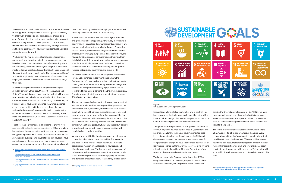I believe this trend will accelerate in 2019. It is easier than ever to find gig work through websites such as UpWork, and many younger workers see side jobs as investment protection in case of a recession. If you ask younger workers why they want online learning and lots of developmental projects at work, their number one answer is "to increase my earnings potential and help me get ahead.<sup>10"</sup> They know that doing side hustles is protection against a layoff.

Productivity, the real measure of employee performance, is not increasing at the rate of inflation, so companies are now heavily focused on organizational design (emphasizing teams not hierarchy), new tools, and analytics to figure out what the most productive people do. I recently met with Genpact, one of the largest service providers in India. The company used ONA<sup>11</sup> to scientifically identify the true behaviors of the most valued employees and then published and trained others to leverage these tips.

the market, focusing solely on the employee experience itself. (Read my report on HR tech<sup>14</sup> for more on this.)

While I have high hopes for new workplace technologies such as Microsoft Office 365, Microsoft Teams, Slack, and G-Suite<sup>12</sup>, we as HR professionals have to work with IT to make sure these technologies integrate with the HR tools we buy. Cloud-based HR platforms such as Workday, Oracle HCM, and SuccessFactors have not transformed the work experience as we had hoped (Sierra Cedar research shows that user satisfaction is dropping), so we need to build a new tapestry of solutions focused on these systems of productivity. Read more about this topic in "Guess Who's Looking at the HR Tech Market: Microsoft.<sup>13</sup>")

The HR technology market is in a hurricane of growth (you can read all the details here), as more than 1,400 new vendors have entered the market in the last three years and companies struggle to figure out what to buy. The core cloud systems are growing well, but corporate buyers tell me cloud systems have not delivered on the promise of low cost of ownership or a compelling employee experience. So a new set of tools is now in

- 12 https://joshbersin.com/2018/12/guess-whos-looking-at-the-hr-tech-marketmicrosoft/
- 13 https://joshbersin.com/2018/12/guess-whos-looking-at-the-hr-tech-marketmicrosoft/

Some have called data the new "oil" of the digital economy, and given what's been happening with privacy, maybe data is as dirty as oil. Regardless, data management and security are much more challenging than originally thought. Companies such as Amazon, Facebook and Google, which have become enormous by leveraging our personal data in advertising, are now under attack because consumers don't trust how their data is being used. It turns out being a data-powered company is harder than it looks, as credit card and financial services companies know well. All of this is creating a much greater focus on data privacy, governance, and ethics in HR.

AI, the newest buzzword in the industry, is now everywhere. I wouldn't be surprised to see young people learn the fundamentals of linear algebra in high school, so they can start building neural networks before they even enter college. The demand for AI experts is incredibly high; LinkedIn says AI jobs are 12 times more in demand than the average positions. One of my associates tells me new graduates in AI can earn \$300,000 right out of college.

The way we manage is changing, too. It's very clear to me that we have entered a world where responsible capitalism is the theme of the future, and managers themselves have to think about taking care of their people, coaching people in a growth mindset, and acting in the most inclusive ways possible. Yes, many companies are still hard-driving places to work, and this will always be true. But in my experience, when the economy turns down and times get tough, tightening the screws doesn't always help. Being honest, responsible, and positive with people is always the best solution.

We are also in the third inning of a long game to redesign our companies to be networks, not hierarchies. The hierarchy of a business will never disappear, but now it is more of a coordination mechanism and less about how orders and directives are carried out. The fastest growing companies of today create highly empowered teams; they promote people based on their expertise and relationships; they experiment and iterate on products and services; and they use top-down

# SUSTAINABLE GEALS



leadership as a form of alignment, not a form of control. This has transformed the leadership development industry, which loves to talk about digital leadership, has given us all a lot of fun work to do building new tools and models for teams.

The latest research by Bersin actually shows that 96% of companies still do annual reviews, despite all the talk about continuous feedback, and the process is still "universally

The age-old world of performance management continues to evolve. Companies now realize that once-a- year reviews are not enough, and many companies have implemented checkins, continuous feedback, agile and open goals, OKRs, and development planning that take place on a regular basis. To complement this change we have an enormous new market of learning experience platforms, virtual reality learning systems, micro-learning tools, and lots of learning "in the flow of work" so we can develop ourselves at any time of the day. The topics of diversity and inclusion have now reached the CEO, making HR's job in this area harder than ever. Every company has built-in bias (by nature, the founders bring their own biases to every business), yet CEOs and HR leaders are now being held accountable for transparent diversity metrics, fair pay, transparent pay by level, and ever-more data about how their metrics compare with their peers. This scrutiny will grow in 2019, forcing companies to continually to invest in this area.

despised" with a net promoter score of -60. 15 I think we have over-rotated toward technology, believing that new tools would solve the issue of management behavior. Now we are in an era of truly teaching leaders how to coach, develop, and listen to their people.

Figure 2 UN Sustainable Development Goals

<sup>10</sup> https://www.linkedin.com/pulse/want-happy-work-spend-time-learning-josh-bersin/

<sup>11</sup> https://joshbersin.com/2018/10/what-emails-reveal-about-your-performance-at-work/

<sup>14</sup> https://joshbersin.com/hr-tech-disruptions-for-2019/

<sup>15</sup> https://joshbersin.com/2018/11/we-wasted-ten-years-talking-aboutperformance-ratings-the-seven-things-weve-learned/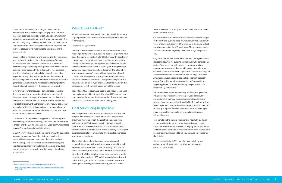There are some amazing technologies to help address diversity and inclusion challenges, ranging from software that "de-biases" job descriptions to finding discrimination in interviews and promotions to pointing out pay inequity. But it's still a tough slog. I believe fairness, diversity, and inclusion should stay at the top of the agenda for all HR organizations this year because of its importance to employees and the business itself.

The theme of "doing well by doing good" should be high on every HR organizations's strategy. The new Just 100 list from Forbes<sup>16</sup> and the 2018 Companies that Care from Great Places to Work<sup>17</sup> provide great models to follow.

Issues related to harassment and mistreatment of employees also continue to surface. Not only do women suffer from poor treatment, but many companies also inadvertently discriminate against older people, people of different cultures, and many other groups. In the old days, this was accepted practice; today harassment and discrimination are being inspected through the microscopic lens of the internet. I believe companies that learn to harness the talents of a multigenerational, multi-cultural workforce will far outperform those that don't, especially if the economy turns south.

In my travels over the last year, I came across dozens and dozens of amazing organizations that are addressing all these workforce challenges. Companies such as Salesforce, Genentech, Schneider Electric, Kone, Citibank, Nestle, and Microsoft are reinventing themselves on a regular basis. They are dealing with all these issues at once; they work hard to make their employee experience better every day; and they honor, respect, and invest in HR.

In 2019, every HR executive should spend time with leadership mapping the company's mission statement against the sustainable development goals from the UN to see how well it lines up. This exercise can be both empowering and transformational for your leadership, because it provides a true sense of purpose, which can drive success like almost nothing else.

#### What About HR Itself?

Almost every week I hear predictions that the HR department is going away or that AI and software will replace the need for HR managers.

I could not disagree more.

In today's uncertain environment, HR has become one of the most important parts of business. If a business is growing, how does it compete for the best talent that aligns with its culture? If a company is restructuring, how does it move people into the right roles, redesign the organization, and inspire people to reinvent themselves as the business goes through change? When a company downsizes, how does it shift to alternative work or reduce people's hours without losing its mojo and culture? And when products go digital or a company shifts to a new value chain, how does it train people to operate in a new way, take on more hybrid roles, and learn new skills? It all comes down to HR, the real heroes behind the scenes.

Yes, HR itself has to adapt. We need to upskill our teams and be more agile, we need to integrate the silos of HR, and we need to modernize the service delivery function. These are all going to be topics I'll talk more about in the coming year.

#### Final point: Being Responsible

The final point I want to make is about culture, mission, and purpose. We are now in a world where trust and purpose are almost more important than profit. Companies such as Facebook and Volkswagen, which put financial results over trust, find themselves in difficult positions over time. A tarnished brand is hard to repair, especially today as we expect business leaders to set an example. This expectation crosses workforce generations.

Those of us who are baby boomers grew up in sound economic times. We built good careers and learned through experience that profitable companies were good places to work. Millennials, Gen-X, and Gen-Z workers see the world a bit differently. While they have seen good economic growth, they also witnessed the 2008 meltdown and a breakdown of political dialogue. Additionally, they have serious concerns about global warming, income inequality, and trust. While

these employees do want great careers, they also want to help make the world better.

On the other side of the workforce spectrum are those people in their 50s and 60s who need or want to work for another 20 years or so. In fact, the over-50 workforce is the single fastest growing segment of the U.S. workforce. These employees are also mission-driven, largely by the nature of age and place in life.

Organizations and HR teams must consider these generational issues in 2019. Are we building an inclusive multi-generational culture? Are we giving older workers the opportunity to mentor younger people? Are we addressing the societal and citizenship concerns of these populations? Are we updating our leadership models to accommodate a much longer lifespan? Are we giving young people leadership opportunities early enough? Are older employees rewarded to "step aside" and let young people take over, while they still get to work and meaningfully contribute?

My career in HR, which happened by accident, has given me insight into a profession I adore, respect, and admire. HR professionals are among the most passionate and creative people I have ever worked with, and in 2019, I think we will be tested again. Let's look at this uncertain year as an opportunity to step up our game and reinvent ourselves to be more agile, more responsible, more data-driven, and more business aligned than ever.

I am here to be the pattern-matcher and hopefully guide you as this world continues to change. Later this year, I plan to introduce a new offering, focused on helping HR professionals and their teams continuously reinvent themselves as the world keeps changing. I'm excited to tell you more, so stay tuned for the details.

Here's to a fantastic 2019! I look forward to talking and collaborating with you in this exciting, and somewhat uncertain, year ahead.

<sup>16</sup> https://www.forbes.com/just-companies/#605b02632bf0

<sup>17</sup> https://www.greatplacetowork.com/best-workplaces/companies-thatcare/2018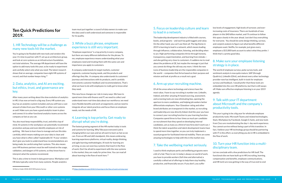## **Ten Quick Predictions for 2019.**

#### 1. HR Technology will be a challenge as many new tools hit the market.

You're going to be flooded with new tools and vendors this year. It's time to partner with IT, set up an architecture group, and look at core systems as an infrastructure foundation, not total solutions. The average HR department will have the option to add many tools this year, so be ready to experiment and carefully select only what you need. The latest research shows that on average, companies have eight HR systems of record, and that number keeps rising.<sup>18</sup>

#### 2. Data, analytics, and AI are exciting, but ethics, trust, and governance are key.

After many years writing about the slow evolution of analytics in HR, it has now arrived in a big way. Every HR system you buy has an analytics system included, and you will have a vast amount of data from your Microsoft or other core systems as well. Make sure you have a good analytics team in place and connect it to other functional analytics teams across the company as fast as you can.

team must put together a council of data owners to make sure the data used is well understood and someone is responsible for its quality.

You also must keep responsibility, trust, and ethics top of mind. AI systems in the workplace can potentially recommend promotion and pay and even identify employees at risk of quitting. We have to learn how to manage and use this data carefully, which means making sure your data is clean and you have what is often called "explainable AI." If your vendors don't give you tools to understand how recommendations are being made, be careful using their systems. This also means your HR business partners must be well trained on the usage, validation, and dangers of AI systems, so they know how to interpret what the systems recommend.

The fastest growing segment of the HR market today is tools and systems for learning. Why? Because everyone's job is changing before our eyes and we all want to learn as fast as we can. From an HR and L&D standpoint, this means embracing learning experience platforms, virtual reality, design thinking, and agile learning methodologies. AI tools for learning are arriving, so you can soon buy systems that teach in the flow of work. Don't be afraid to experiment with the new systems in the market; they are ready for prime time. You can read all about learning in the flow of work here.<sup>19</sup>

This is also a time to invest in data governance. Workplace and HR data typically come from many systems. People analytics

#### 18 Sierra-Cedar 2018-2019 HR Systems Survey

#### 3. While a buzz phrase, employee experience is still very important.

"Employee experience" is a top priority in every company, but there are many different definitions for the phrase. To me, employee experience means understanding what your employees need and treating them with the same care and importance you apply to customers.

A company understands its target markets, customer segments, customer buying needs, and the products and offerings they like. A company also understands its customers' journeys and interactions with its products, and it carefully instruments customer feedback and recommendations. That's what we have to do with employees to really get to know what they need.

This new focus changes our role in many ways. We have to spend more time with finance and IT; we need to collect and understand more real-time data about our workforce; we need more flexible benefits and work arrangements; and we need to integrate all our talent practices and focus them on employee needs, not the needs of HR.

#### 4. Learning is top priority. Get ready to disrupt what you're doing.

19 https://joshbersin.com/2018/11/learning-in-the-flow-of-work-arriving-now/

#### 5. Focus on leadership culture and learn to lead in a network.

The leadership development industry is filled with courses, books, and programs – and each has gold nuggets and value. On the other hand, you can't use them all. The big theme in 2019 is learning to lead in a network, which means leading through influence, collaboration, listening, and deciding when to act. High-performing companies thrive through honesty, transparency, experimentation, and learning from mistaks - and also getting very close to customers. It saddens me to read about the problems at GE, but maybe the message is just that you cannot do things the old way any more. I think the new icons of business leadership are the responsible companies in the world -- companies that thrive based on their purpose and mission and look at profits as a result not a goal.

#### 6. Arm up your recruiting machine.

#### 7. Take the wellbeing market seriously.

I used to think employee perks and wellbeing programs were a bit of a fad. They're not. In today's always-on world of work, you have to provide workers (full-time and alternative) a carefully crafted set of offerings to help them stay healthy, productive, and financially secure. If you don't, you suffer

Of all the areas where technology and science have the most value, I have to say recruiting is number one. LinkedIn, Indeed, and other amazing AI-based sourcing, assessment, and screening tools are now eliminating bias, opening the aperture to more candidates, and helping job seekers better differentiate employers. Your Glassdoor rating and other brand attributes are transparent in the market, so recruiting and leadership are now directly linked. And this year you have to connect your recruiting function to your learning function. Companies spend three to four times as much per candidate on recruitment than they spend on developing internal candidates, yet as many as a third of new hires don't work out. I think the talent acquisition and talent development teams have to spend more time together, so you can truly implement a sound program for facilitated internal mobility. There are some amazing technologies to help with this in the market now. agenda. 9. Talk with your IT department about Microsoft and the company's productivity tools. This year is going to be a big year for wholesale employee productivity tools. Microsoft Teams and related technologies, Slack, Workplace by Facebook, Google G-Suite, and new tools from Cisco are revolutionizing the day-t- day work experience. You cannot survive without being a part of this transition. In fact, I believe your HR technology group should be partnering with IT in this effort, so everything you do in HR is embedded in the flow of work.

- low levels of engagement, high levels of turnover, and everincreasing costs of insurance. There are hundreds of new players in this \$40 billion market, and I'll continue to follow this space closely in the year ahead. Just don't buy everything for everyone. You should do some design thinking, surveys, and conjoint analysis to figure out what benefits different employees want. Netflix, for example, just gives every employee a \$15,000 bank account to select what they prefer. I think that's a pretty good idea.
- 8. Make sure your employee listening strategy is in place.
- The world of employee surveys, pulse survey tools, and sentiment analysis is now quite mature. SAP (through Qualtrics), LinkedIn (Glint), and almost every other technology provider now has intelligent, built-in tools for employee surveys and feedback. I would prefer that these tools are embedded into the core HR platforms, but that is still aways off. Make sure effective employee listening is on your 2019

#### 10. Turn your HR function into a multidisciplinary team.

Let me conclude with a few predictions for HR itself. The functional silos we have built up in HR (recruiting, learning, compensation and benefits, employee communications, and HR tech) are now getting in the way of true end-to-end